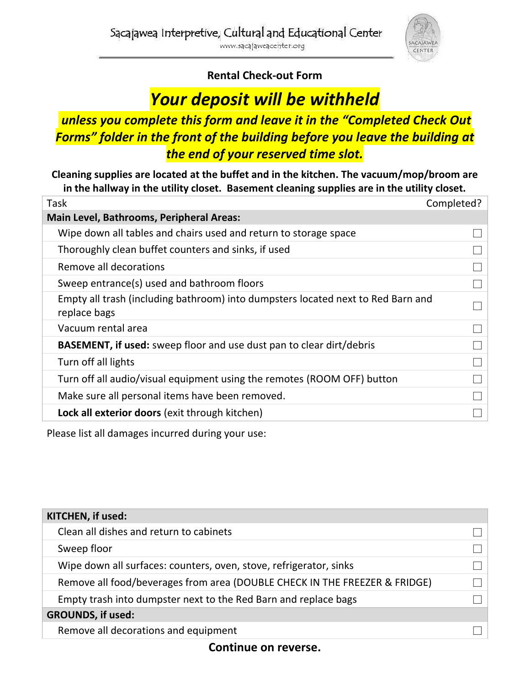

## **Rental Check-out Form**

## *Your deposit will be withheld*

## *unless you complete this form and leave it in the "Completed Check Out Forms" folder in the front of the building before you leave the building at the end of your reserved time slot.*

**Cleaning supplies are located at the buffet and in the kitchen. The vacuum/mop/broom are in the hallway in the utility closet. Basement cleaning supplies are in the utility closet.**

| Task                                                                                             | Completed? |
|--------------------------------------------------------------------------------------------------|------------|
| <b>Main Level, Bathrooms, Peripheral Areas:</b>                                                  |            |
| Wipe down all tables and chairs used and return to storage space                                 |            |
| Thoroughly clean buffet counters and sinks, if used                                              |            |
| Remove all decorations                                                                           |            |
| Sweep entrance(s) used and bathroom floors                                                       |            |
| Empty all trash (including bathroom) into dumpsters located next to Red Barn and<br>replace bags |            |
| Vacuum rental area                                                                               |            |
| <b>BASEMENT, if used:</b> sweep floor and use dust pan to clear dirt/debris                      |            |
| Turn off all lights                                                                              |            |
| Turn off all audio/visual equipment using the remotes (ROOM OFF) button                          |            |
| Make sure all personal items have been removed.                                                  |            |
| Lock all exterior doors (exit through kitchen)                                                   |            |

Please list all damages incurred during your use:

| KITCHEN, if used:                                                          |  |
|----------------------------------------------------------------------------|--|
| Clean all dishes and return to cabinets                                    |  |
| Sweep floor                                                                |  |
| Wipe down all surfaces: counters, oven, stove, refrigerator, sinks         |  |
| Remove all food/beverages from area (DOUBLE CHECK IN THE FREEZER & FRIDGE) |  |
| Empty trash into dumpster next to the Red Barn and replace bags            |  |
| <b>GROUNDS, if used:</b>                                                   |  |
| Remove all decorations and equipment                                       |  |

**Continue on reverse.**